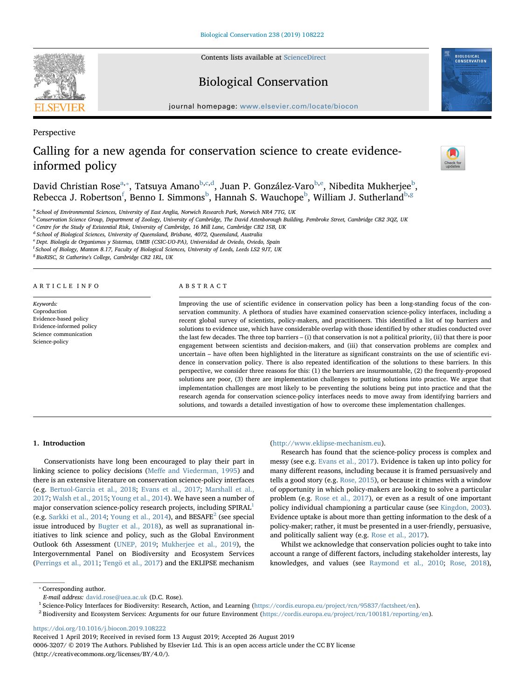Contents lists available at [ScienceDirect](http://www.sciencedirect.com/science/journal/00063207)

# Biological Conservation

journal homepage: [www.elsevier.com/locate/biocon](https://www.elsevier.com/locate/biocon)

Perspective

# Calling for a new agenda for conservation science to create evidenceinformed policy

D[a](#page-0-0)vid Christian Rose<sup>a,</sup>\*, Tatsuya Amano<sup>[b,](#page-0-2)[c,](#page-0-3)[d](#page-0-4)</sup>, Juan P. González-Varo<sup>[b](#page-0-2)[,e](#page-0-5)</sup>, Nibedita Mukherjee<sup>b</sup>, Rebecca J. Robertson<sup>[f](#page-0-6)</sup>, Benno I. Simmons<sup>[b](#page-0-2)</sup>, Hannah S. Wauchope<sup>b</sup>, William J. Sutherland<sup>b[,g](#page-0-7)</sup>

<span id="page-0-0"></span><sup>a</sup> School of Environmental Sciences, University of East Anglia, Norwich Research Park, Norwich NR4 7TG, UK

<span id="page-0-2"></span><sup>b</sup> Conservation Science Group, Department of Zoology, University of Cambridge, The David Attenborough Building, Pembroke Street, Cambridge CB2 3QZ, UK

<span id="page-0-3"></span><sup>c</sup> Centre for the Study of Existential Risk, University of Cambridge, 16 Mill Lane, Cambridge CB2 1SB, UK

<span id="page-0-4"></span><sup>d</sup> School of Biological Sciences, University of Queensland, Brisbane, 4072, Queensland, Australia

<span id="page-0-5"></span><sup>e</sup> Dept. Biología de Organismos y Sistemas, UMIB (CSIC-UO-PA), Universidad de Oviedo, Oviedo, Spain

<span id="page-0-7"></span><span id="page-0-6"></span><sup>f</sup> School of Biology, Manton 8.17, Faculty of Biological Sciences, University of Leeds, Leeds LS2 9JT, UK

<sup>g</sup> BioRISC, St Catherine's College, Cambridge CB2 1RL, UK

## ARTICLE INFO

Keywords: Coproduction Evidence-based policy Evidence-informed policy Science communication Science-policy

### ABSTRACT

Improving the use of scientific evidence in conservation policy has been a long-standing focus of the conservation community. A plethora of studies have examined conservation science-policy interfaces, including a recent global survey of scientists, policy-makers, and practitioners. This identified a list of top barriers and solutions to evidence use, which have considerable overlap with those identified by other studies conducted over the last few decades. The three top barriers – (i) that conservation is not a political priority, (ii) that there is poor engagement between scientists and decision-makers, and (iii) that conservation problems are complex and uncertain – have often been highlighted in the literature as significant constraints on the use of scientific evidence in conservation policy. There is also repeated identification of the solutions to these barriers. In this perspective, we consider three reasons for this: (1) the barriers are insurmountable, (2) the frequently-proposed solutions are poor, (3) there are implementation challenges to putting solutions into practice. We argue that implementation challenges are most likely to be preventing the solutions being put into practice and that the research agenda for conservation science-policy interfaces needs to move away from identifying barriers and solutions, and towards a detailed investigation of how to overcome these implementation challenges.

## 1. Introduction

Conservationists have long been encouraged to play their part in linking science to policy decisions (Meff[e and Viederman, 1995](#page-7-0)) and there is an extensive literature on conservation science-policy interfaces (e.g. [Bertuol-Garcia et al., 2018](#page-6-0); [Evans et al., 2017](#page-7-1); [Marshall et al.,](#page-7-2) [2017;](#page-7-2) [Walsh et al., 2015](#page-7-3); [Young et al., 2014](#page-7-4)). We have seen a number of major conservation science-policy research projects, including SPIRAL<sup>[1](#page-0-8)</sup> (e.g. [Sarkki et al., 2014;](#page-7-5) [Young et al., 2014\)](#page-7-4), and  $BESAFE<sup>2</sup>$  $BESAFE<sup>2</sup>$  $BESAFE<sup>2</sup>$  (see special issue introduced by [Bugter et al., 2018\)](#page-6-1), as well as supranational initiatives to link science and policy, such as the Global Environment Outlook 6th Assessment [\(UNEP, 2019](#page-7-6); [Mukherjee et al., 2019](#page-7-7)), the Intergovernmental Panel on Biodiversity and Ecosystem Services ([Perrings et al., 2011](#page-7-8); [Tengö et al., 2017\)](#page-7-9) and the EKLIPSE mechanism

# ([http://www.eklipse-mechanism.eu\)](http://www.eklipse-mechanism.eu).

Research has found that the science-policy process is complex and messy (see e.g. [Evans et al., 2017\)](#page-7-1). Evidence is taken up into policy for many different reasons, including because it is framed persuasively and tells a good story (e.g. [Rose, 2015\)](#page-7-10), or because it chimes with a window of opportunity in which policy-makers are looking to solve a particular problem (e.g. [Rose et al., 2017\)](#page-7-11), or even as a result of one important policy individual championing a particular cause (see [Kingdon, 2003](#page-7-12)). Evidence uptake is about more than getting information to the desk of a policy-maker; rather, it must be presented in a user-friendly, persuasive, and politically salient way (e.g. [Rose et al., 2017\)](#page-7-11).

Whilst we acknowledge that conservation policies ought to take into account a range of different factors, including stakeholder interests, lay knowledges, and values (see [Raymond et al., 2010](#page-7-13); [Rose, 2018](#page-7-14)),

<span id="page-0-1"></span>⁎ Corresponding author.

<span id="page-0-8"></span><sup>1</sup> Science-Policy Interfaces for Biodiversity: Research, Action, and Learning (<https://cordis.europa.eu/project/rcn/95837/factsheet/en>).

<span id="page-0-9"></span> $^2$  Biodiversity and Ecosystem Services: Arguments for our future Environment ([https://cordis.europa.eu/project/rcn/100181/reporting/en\)](https://cordis.europa.eu/project/rcn/100181/reporting/en).

<https://doi.org/10.1016/j.biocon.2019.108222>

Received 1 April 2019; Received in revised form 13 August 2019; Accepted 26 August 2019

0006-3207/ © 2019 The Authors. Published by Elsevier Ltd. This is an open access article under the CC BY license (http://creativecommons.org/licenses/BY/4.0/).







E-mail address: [david.rose@uea.ac.uk](mailto:david.rose@uea.ac.uk) (D.C. Rose).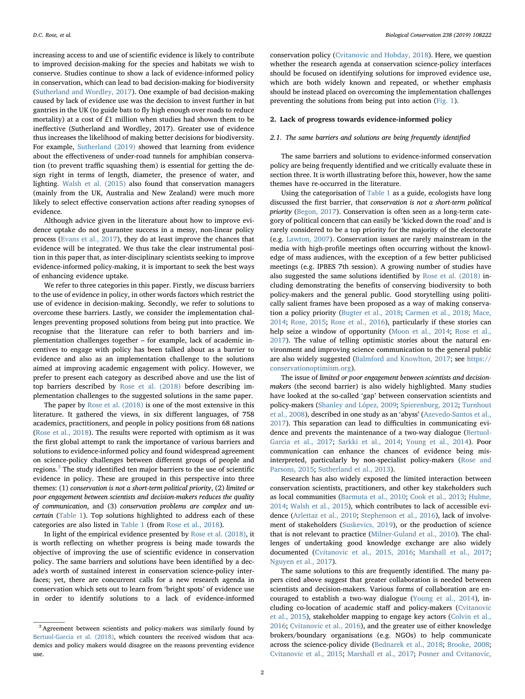increasing access to and use of scientific evidence is likely to contribute to improved decision-making for the species and habitats we wish to conserve. Studies continue to show a lack of evidence-informed policy in conservation, which can lead to bad decision-making for biodiversity ([Sutherland and Wordley, 2017\)](#page-7-15). One example of bad decision-making caused by lack of evidence use was the decision to invest further in bat gantries in the UK (to guide bats to fly high enough over roads to reduce mortality) at a cost of £1 million when studies had shown them to be ineffective (Sutherland and Wordley, 2017). Greater use of evidence thus increases the likelihood of making better decisions for biodiversity. For example, [Sutherland \(2019\)](#page-7-16) showed that learning from evidence about the effectiveness of under-road tunnels for amphibian conservation (to prevent traffic squashing them) is essential for getting the design right in terms of length, diameter, the presence of water, and lighting. [Walsh et al. \(2015\)](#page-7-3) also found that conservation managers (mainly from the UK, Australia and New Zealand) were much more likely to select effective conservation actions after reading synopses of evidence.

Although advice given in the literature about how to improve evidence uptake do not guarantee success in a messy, non-linear policy process [\(Evans et al., 2017](#page-7-1)), they do at least improve the chances that evidence will be integrated. We thus take the clear instrumental position in this paper that, as inter-disciplinary scientists seeking to improve evidence-informed policy-making, it is important to seek the best ways of enhancing evidence uptake.

We refer to three categories in this paper. Firstly, we discuss barriers to the use of evidence in policy, in other words factors which restrict the use of evidence in decision-making. Secondly, we refer to solutions to overcome these barriers. Lastly, we consider the implementation challenges preventing proposed solutions from being put into practice. We recognise that the literature can refer to both barriers and implementation challenges together – for example, lack of academic incentives to engage with policy has been talked about as a barrier to evidence and also as an implementation challenge to the solutions aimed at improving academic engagement with policy. However, we prefer to present each category as described above and use the list of top barriers described by [Rose et al. \(2018\)](#page-7-17) before describing implementation challenges to the suggested solutions in the same paper.

The paper by [Rose et al. \(2018\)](#page-7-17) is one of the most extensive in this literature. It gathered the views, in six different languages, of 758 academics, practitioners, and people in policy positions from 68 nations ([Rose et al., 2018\)](#page-7-17). The results were reported with optimism as it was the first global attempt to rank the importance of various barriers and solutions to evidence-informed policy and found widespread agreement on science-policy challenges between different groups of people and regions. $3$  The study identified ten major barriers to the use of scientific evidence in policy. These are grouped in this perspective into three themes: (1) conservation is not a short-term political priority, (2) limited or poor engagement between scientists and decision-makers reduces the quality of communication, and (3) conservation problems are complex and uncertain ([Table 1\)](#page-2-0). Top solutions highlighted to address each of these categories are also listed in [Table 1](#page-2-0) (from [Rose et al., 2018](#page-7-17)).

In light of the empirical evidence presented by [Rose et al. \(2018\)](#page-7-17), it is worth reflecting on whether progress is being made towards the objective of improving the use of scientific evidence in conservation policy. The same barriers and solutions have been identified by a decade's worth of sustained interest in conservation science-policy interfaces; yet, there are concurrent calls for a new research agenda in conservation which sets out to learn from 'bright spots' of evidence use in order to identify solutions to a lack of evidence-informed

conservation policy ([Cvitanovic and Hobday, 2018](#page-6-2)). Here, we question whether the research agenda at conservation science-policy interfaces should be focused on identifying solutions for improved evidence use, which are both widely known and repeated, or whether emphasis should be instead placed on overcoming the implementation challenges preventing the solutions from being put into action [\(Fig. 1\)](#page-2-1).

## 2. Lack of progress towards evidence-informed policy

## 2.1. The same barriers and solutions are being frequently identified

The same barriers and solutions to evidence-informed conservation policy are being frequently identified and we critically evaluate these in section three. It is worth illustrating before this, however, how the same themes have re-occurred in the literature.

Using the categorisation of [Table 1](#page-2-0) as a guide, ecologists have long discussed the first barrier, that conservation is not a short-term political priority ([Begon, 2017\)](#page-6-3). Conservation is often seen as a long-term category of political concern that can easily be 'kicked down the road' and is rarely considered to be a top priority for the majority of the electorate (e.g. [Lawton, 2007](#page-7-18)). Conservation issues are rarely mainstream in the media with high-profile meetings often occurring without the knowledge of mass audiences, with the exception of a few better publicised meetings (e.g. IPBES 7th session). A growing number of studies have also suggested the same solutions identified by [Rose et al. \(2018\)](#page-7-17) including demonstrating the benefits of conserving biodiversity to both policy-makers and the general public. Good storytelling using politically salient frames have been proposed as a way of making conservation a policy priority ([Bugter et al., 2018;](#page-6-1) [Carmen et al., 2018;](#page-6-4) [Mace,](#page-7-19) [2014;](#page-7-19) [Rose,](#page-7-10) 2015; [Rose et al., 2016\)](#page-7-20), particularly if these stories can help seize a window of opportunity [\(Moon et al., 2014;](#page-7-21) [Rose et al.,](#page-7-11) [2017\)](#page-7-11). The value of telling optimistic stories about the natural environment and improving science communication to the general public are also widely suggested [\(Balmford and Knowlton, 2017](#page-6-5); see [https://](https://conservationoptimism.org) [conservationoptimism.org\)](https://conservationoptimism.org).

The issue of limited or poor engagement between scientists and decisionmakers (the second barrier) is also widely highlighted. Many studies have looked at the so-called 'gap' between conservation scientists and policy-makers [\(Shanley and López, 2009](#page-7-22); [Spierenburg, 2012;](#page-7-23) [Turnhout](#page-7-24) [et al., 2008\)](#page-7-24), described in one study as an 'abyss' ([Azevedo-Santos et al.,](#page-6-6) [2017\)](#page-6-6). This separation can lead to difficulties in communicating evidence and prevents the maintenance of a two-way dialogue [\(Bertuol-](#page-6-7)[Garcia et al., 2017;](#page-6-7) [Sarkki et al., 2014;](#page-7-5) [Young et al., 2014\)](#page-7-4). Poor communication can enhance the chances of evidence being misinterpreted, particularly by non-specialist policy-makers [\(Rose and](#page-7-25) [Parsons, 2015](#page-7-25); [Sutherland et al., 2013](#page-7-26)).

Research has also widely exposed the limited interaction between conservation scientists, practitioners, and other key stakeholders such as local communities [\(Barmuta et al., 2010;](#page-6-8) [Cook et al., 2013](#page-6-9); [Hulme,](#page-7-27) [2014;](#page-7-27) [Walsh et al., 2015](#page-7-3)), which contributes to lack of accessible evidence ([Arlettaz et al., 2010;](#page-6-10) [Stephenson et al., 2016](#page-7-28)), lack of involvement of stakeholders ([Suskevics, 2019\)](#page-7-29), or the production of science that is not relevant to practice [\(Milner-Guland et al., 2010](#page-7-30)). The challenges of undertaking good knowledge exchange are also widely documented ([Cvitanovic et al., 2015, 2016;](#page-6-11) [Marshall et al., 2017](#page-7-2); [Nguyen et al., 2017](#page-7-31)).

The same solutions to this are frequently identified. The many papers cited above suggest that greater collaboration is needed between scientists and decision-makers. Various forms of collaboration are encouraged to establish a two-way dialogue ([Young et al., 2014\)](#page-7-4), including co-location of academic staff and policy-makers [\(Cvitanovic](#page-6-11) [et al., 2015\)](#page-6-11), stakeholder mapping to engage key actors ([Colvin et al.,](#page-6-12) [2016;](#page-6-12) [Cvitanovic et al., 2016](#page-6-13)), and the greater use of either knowledge brokers/boundary organisations (e.g. NGOs) to help communicate across the science-policy divide [\(Bednarek et al., 2018](#page-6-14); [Brooke, 2008](#page-6-15); [Cvitanovic et al., 2015;](#page-6-11) [Marshall et al., 2017;](#page-7-2) [Posner and Cvitanovic,](#page-7-32)

<span id="page-1-0"></span><sup>&</sup>lt;sup>3</sup> Agreement between scientists and policy-makers was similarly found by [Bertuol-Garcia et al. \(2018\)](#page-6-0), which counters the received wisdom that academics and policy makers would disagree on the reasons preventing evidence use.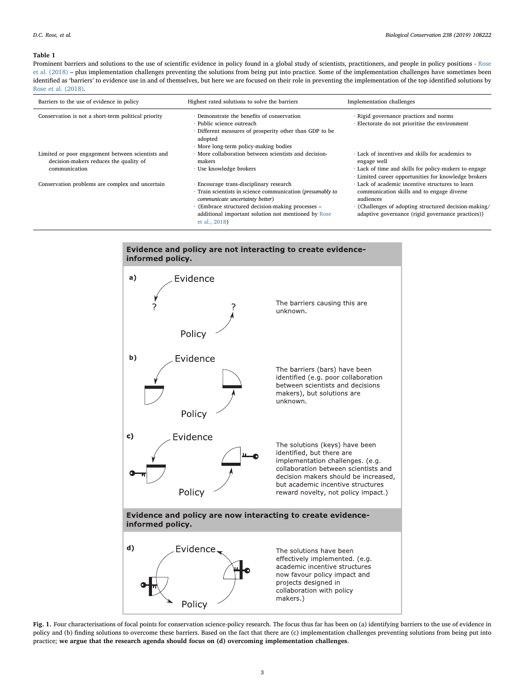#### <span id="page-2-0"></span>Table 1

Prominent barriers and solutions to the use of scientific evidence in policy found in a global study of scientists, practitioners, and people in policy positions - [Rose](#page-7-17) [et al. \(2018\)](#page-7-17) – plus implementation challenges preventing the solutions from being put into practice. Some of the implementation challenges have sometimes been identified as 'barriers' to evidence use in and of themselves, but here we are focused on their role in preventing the implementation of the top identified solutions by [Rose et al. \(2018\)](#page-7-17).

| Barriers to the use of evidence in policy                                                                    | Highest rated solutions to solve the barriers                                                                                                                                                                                                        | Implementation challenges                                                                                                                                                                                                 |
|--------------------------------------------------------------------------------------------------------------|------------------------------------------------------------------------------------------------------------------------------------------------------------------------------------------------------------------------------------------------------|---------------------------------------------------------------------------------------------------------------------------------------------------------------------------------------------------------------------------|
| Conservation is not a short-term political priority                                                          | · Demonstrate the benefits of conservation<br>· Public science outreach<br>· Different measures of prosperity other than GDP to be<br>adopted<br>· More long-term policy-making bodies                                                               | · Rigid governance practices and norms<br>· Electorate do not prioritise the environment                                                                                                                                  |
| Limited or poor engagement between scientists and<br>decision-makers reduces the quality of<br>communication | · More collaboration between scientists and decision-<br>makers<br>· Use knowledge brokers                                                                                                                                                           | · Lack of incentives and skills for academics to<br>engage well<br>Lack of time and skills for policy-makers to engage<br>· Limited career opportunities for knowledge brokers                                            |
| Conservation problems are complex and uncertain                                                              | · Encourage trans-disciplinary research<br>· Train scientists in science communication (presumably to<br>communicate uncertainty better)<br>· {Embrace structured decision-making processes -<br>additional important solution not mentioned by Rose | · Lack of academic incentive structures to learn<br>communication skills and to engage diverse<br>audiences<br>· {Challenges of adopting structured decision-making/<br>adaptive governance (rigid governance practices)} |



<span id="page-2-1"></span>

Fig. 1. Four characterisations of focal points for conservation science-policy research. The focus thus far has been on (a) identifying barriers to the use of evidence in policy and (b) finding solutions to overcome these barriers. Based on the fact that there are (c) implementation challenges preventing solutions from being put into practice; we argue that the research agenda should focus on (d) overcoming implementation challenges.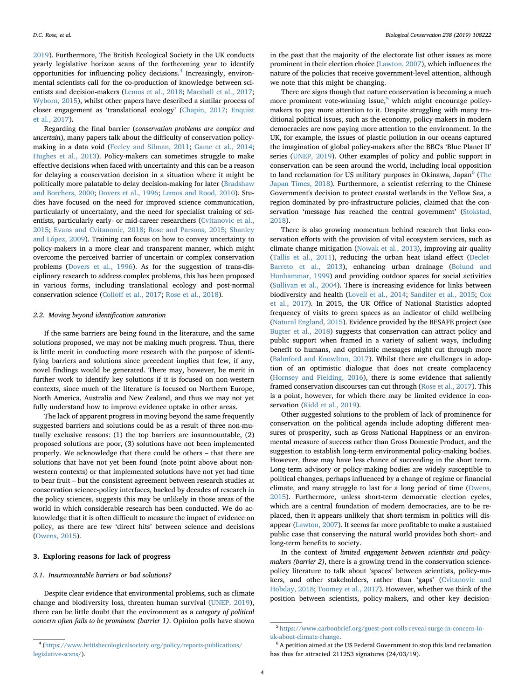[2019\)](#page-7-32). Furthermore, The British Ecological Society in the UK conducts yearly legislative horizon scans of the forthcoming year to identify opportunities for influencing policy decisions.[4](#page-3-0) Increasingly, environmental scientists call for the co-production of knowledge between scientists and decision-makers [\(Lemos et al., 2018](#page-7-33); [Marshall et al., 2017](#page-7-2); [Wyborn, 2015](#page-7-34)), whilst other papers have described a similar process of closer engagement as 'translational ecology' ([Chapin, 2017](#page-6-16); [Enquist](#page-6-17) [et al., 2017](#page-6-17)).

Regarding the final barrier (conservation problems are complex and uncertain), many papers talk about the difficulty of conservation policymaking in a data void [\(Feeley and Silman, 2011](#page-7-35); [Game et al., 2014](#page-7-36); [Hughes et al., 2013\)](#page-7-37). Policy-makers can sometimes struggle to make effective decisions when faced with uncertainty and this can be a reason for delaying a conservation decision in a situation where it might be politically more palatable to delay decision-making for later [\(Bradshaw](#page-6-18) [and Borchers, 2000](#page-6-18); [Dovers et al., 1996;](#page-6-19) [Lemos and Rood, 2010\)](#page-7-38). Studies have focused on the need for improved science communication, particularly of uncertainty, and the need for specialist training of scientists, particularly early- or mid-career researchers [\(Cvitanovic et al.,](#page-6-11) [2015;](#page-6-11) [Evans and Cvitanonic, 2018;](#page-6-20) [Rose and Parsons, 2015](#page-7-25); [Shanley](#page-7-22) [and López, 2009\)](#page-7-22). Training can focus on how to convey uncertainty to policy-makers in a more clear and transparent manner, which might overcome the perceived barrier of uncertain or complex conservation problems ([Dovers et al., 1996](#page-6-19)). As for the suggestion of trans-disciplinary research to address complex problems, this has been proposed in various forms, including translational ecology and post-normal conservation science (Colloff [et al., 2017](#page-6-21); [Rose et al., 2018](#page-7-17)).

# 2.2. Moving beyond identification saturation

If the same barriers are being found in the literature, and the same solutions proposed, we may not be making much progress. Thus, there is little merit in conducting more research with the purpose of identifying barriers and solutions since precedent implies that few, if any, novel findings would be generated. There may, however, be merit in further work to identify key solutions if it is focused on non-western contexts, since much of the literature is focused on Northern Europe, North America, Australia and New Zealand, and thus we may not yet fully understand how to improve evidence uptake in other areas.

The lack of apparent progress in moving beyond the same frequently suggested barriers and solutions could be as a result of three non-mutually exclusive reasons: (1) the top barriers are insurmountable, (2) proposed solutions are poor, (3) solutions have not been implemented properly. We acknowledge that there could be others – that there are solutions that have not yet been found (note point above about nonwestern contexts) or that implemented solutions have not yet had time to bear fruit – but the consistent agreement between research studies at conservation science-policy interfaces, backed by decades of research in the policy sciences, suggests this may be unlikely in those areas of the world in which considerable research has been conducted. We do acknowledge that it is often difficult to measure the impact of evidence on policy, as there are few 'direct hits' between science and decisions ([Owens, 2015](#page-7-39)).

# 3. Exploring reasons for lack of progress

## 3.1. Insurmountable barriers or bad solutions?

Despite clear evidence that environmental problems, such as climate change and biodiversity loss, threaten human survival [\(UNEP, 2019](#page-7-6)), there can be little doubt that the environment as a category of political concern often fails to be prominent (barrier 1). Opinion polls have shown

in the past that the majority of the electorate list other issues as more prominent in their election choice [\(Lawton, 2007](#page-7-18)), which influences the nature of the policies that receive government-level attention, although we note that this might be changing.

There are signs though that nature conservation is becoming a much more prominent vote-winning issue,<sup>[5](#page-3-1)</sup> which might encourage policymakers to pay more attention to it. Despite struggling with many traditional political issues, such as the economy, policy-makers in modern democracies are now paying more attention to the environment. In the UK, for example, the issues of plastic pollution in our oceans captured the imagination of global policy-makers after the BBC's 'Blue Planet II' series ([UNEP, 2019\)](#page-7-6). Other examples of policy and public support in conservation can be seen around the world, including local opposition to land reclamation for US military purposes in Okinawa, Japan<sup>[6](#page-3-2)</sup> [\(The](#page-7-40) [Japan Times, 2018\)](#page-7-40). Furthermore, a scientist referring to the Chinese Government's decision to protect coastal wetlands in the Yellow Sea, a region dominated by pro-infrastructure policies, claimed that the conservation 'message has reached the central government' ([Stokstad,](#page-7-41) [2018\)](#page-7-41).

There is also growing momentum behind research that links conservation efforts with the provision of vital ecosystem services, such as climate change mitigation [\(Nowak et al., 2013](#page-7-42)), improving air quality ([Tallis et al., 2011\)](#page-7-43), reducing the urban heat island effect ([Declet-](#page-6-22)[Barreto et al., 2013\)](#page-6-22), enhancing urban drainage ([Bolund and](#page-6-23) [Hunhammar, 1999](#page-6-23)) and providing outdoor spaces for social activities ([Sullivan et al., 2004\)](#page-7-44). There is increasing evidence for links between biodiversity and health [\(Lovell et al., 2014;](#page-7-45) [Sandifer et al., 2015](#page-7-46); [Cox](#page-6-24) [et al., 2017\)](#page-6-24). In 2015, the UK Office of National Statistics adopted frequency of visits to green spaces as an indicator of child wellbeing ([Natural England, 2015](#page-7-47)). Evidence provided by the BESAFE project (see [Bugter et al., 2018\)](#page-6-1) suggests that conservation can attract policy and public support when framed in a variety of salient ways, including benefit to humans, and optimistic messages might cut through more ([Balmford and Knowlton, 2017\)](#page-6-5). Whilst there are challenges in adoption of an optimistic dialogue that does not create complacency ([Hornsey and Fielding, 2016](#page-7-48)), there is some evidence that saliently framed conservation discourses can cut through [\(Rose et al., 2017\)](#page-7-11). This is a point, however, for which there may be limited evidence in con-servation ([Kidd et al., 2019\)](#page-7-49).

Other suggested solutions to the problem of lack of prominence for conservation on the political agenda include adopting different measures of prosperity, such as Gross National Happiness or an environmental measure of success rather than Gross Domestic Product, and the suggestion to establish long-term environmental policy-making bodies. However, these may have less chance of succeeding in the short term. Long-term advisory or policy-making bodies are widely susceptible to political changes, perhaps influenced by a change of regime or financial climate, and many struggle to last for a long period of time ([Owens,](#page-7-39) [2015\)](#page-7-39). Furthermore, unless short-term democratic election cycles, which are a central foundation of modern democracies, are to be replaced, then it appears unlikely that short-termism in politics will disappear ([Lawton, 2007\)](#page-7-18). It seems far more profitable to make a sustained public case that conserving the natural world provides both short- and long-term benefits to society.

In the context of limited engagement between scientists and policymakers (barrier 2), there is a growing trend in the conservation sciencepolicy literature to talk about 'spaces' between scientists, policy-makers, and other stakeholders, rather than 'gaps' [\(Cvitanovic and](#page-6-2) [Hobday, 2018](#page-6-2); [Toomey et al., 2017](#page-7-50)). However, whether we think of the position between scientists, policy-makers, and other key decision-

<span id="page-3-0"></span><sup>4</sup> [\(https://www.britishecologicalsociety.org/policy/reports-publications/](https://www.britishecologicalsociety.org/policy/reports-publications/legislative-scans/) [legislative-scans/](https://www.britishecologicalsociety.org/policy/reports-publications/legislative-scans/)).

<span id="page-3-1"></span><sup>5</sup> [https://www.carbonbrief.org/guest-post-rolls-reveal-surge-in-concern-in](https://www.carbonbrief.org/guest-post-rolls-reveal-surge-in-concern-in-uk-about-climate-change)[uk-about-climate-change](https://www.carbonbrief.org/guest-post-rolls-reveal-surge-in-concern-in-uk-about-climate-change).

<span id="page-3-2"></span><sup>6</sup> A petition aimed at the US Federal Government to stop this land reclamation has thus far attracted 211253 signatures (24/03/19).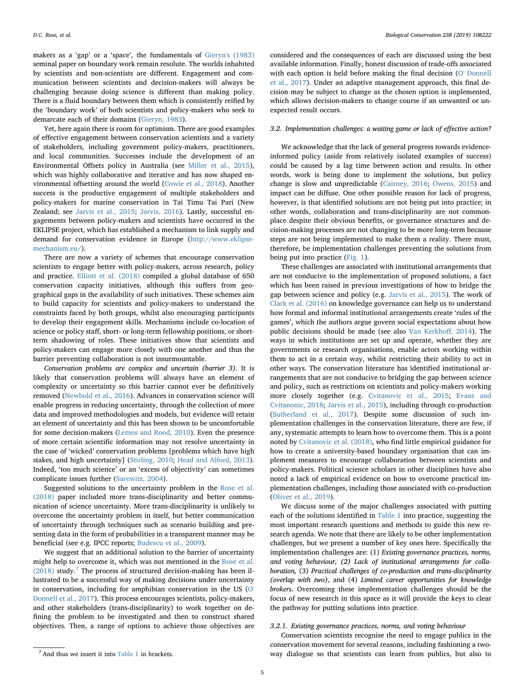makers as a 'gap' or a 'space', the fundamentals of [Gieryn's \(1983\)](#page-7-51) seminal paper on boundary work remain resolute. The worlds inhabited by scientists and non-scientists are different. Engagement and communication between scientists and decision-makers will always be challenging because doing science is different than making policy. There is a fluid boundary between them which is consistently reified by the 'boundary work' of both scientists and policy-makers who seek to demarcate each of their domains [\(Gieryn, 1983\)](#page-7-51).

Yet, here again there is room for optimism. There are good examples of effective engagement between conservation scientists and a variety of stakeholders, including government policy-makers, practitioners, and local communities. Successes include the development of an Environmental Offsets policy in Australia (see [Miller et al., 2015](#page-7-52)), which was highly collaborative and iterative and has now shaped environmental offsetting around the world ([Cowie et al., 2018](#page-6-25)). Another success is the productive engagement of multiple stakeholders and policy-makers for marine conservation in Tai Timu Tai Pari (New Zealand; see [Jarvis et al., 2015](#page-7-53); [Jarvis, 2016\)](#page-7-54). Lastly, successful engagements between policy-makers and scientists have occurred in the EKLIPSE project, which has established a mechanism to link supply and demand for conservation evidence in Europe [\(http://www.eklipse](http://www.eklipse-mechanism.eu/)[mechanism.eu/](http://www.eklipse-mechanism.eu/)).

There are now a variety of schemes that encourage conservation scientists to engage better with policy-makers, across research, policy and practice. [Elliott et al. \(2018\)](#page-6-26) compiled a global database of 650 conservation capacity initiatives, although this suffers from geographical gaps in the availability of such initiatives. These schemes aim to build capacity for scientists and policy-makers to understand the constraints faced by both groups, whilst also encouraging participants to develop their engagement skills. Mechanisms include co-location of science or policy staff, short- or long-term fellowship positions, or shortterm shadowing of roles. These initiatives show that scientists and policy-makers can engage more closely with one another and thus the barrier preventing collaboration is not insurmountable.

Conservation problems are complex and uncertain (barrier 3). It is likely that conservation problems will always have an element of complexity or uncertainty so this barrier cannot ever be definitively removed ([Newbold et al., 2016\)](#page-7-55). Advances in conservation science will enable progress in reducing uncertainty, through the collection of more data and improved methodologies and models, but evidence will retain an element of uncertainty and this has been shown to be uncomfortable for some decision-makers ([Lemos and Rood, 2010](#page-7-38)). Even the presence of more certain scientific information may not resolve uncertainty in the case of 'wicked' conservation problems [problems which have high stakes, and high uncertainty] ([Stirling,](#page-7-56) 2010; [Head and Alford, 2013](#page-7-57)). Indeed, 'too much science' or an 'excess of objectivity' can sometimes complicate issues further ([Sarewitz, 2004](#page-7-58)).

Suggested solutions to the uncertainty problem in the [Rose et al.](#page-7-17) [\(2018\)](#page-7-17) paper included more trans-disciplinarity and better communication of science uncertainty. More trans-disciplinarity is unlikely to overcome the uncertainty problem in itself, but better communication of uncertainty through techniques such as scenario building and presenting data in the form of probabilities in a transparent manner may be beneficial (see e.g. IPCC reports; [Budescu et al., 2009\)](#page-6-27).

We suggest that an additional solution to the barrier of uncertainty might help to overcome it, which was not mentioned in the [Rose et al.](#page-7-17)  $(2018)$  study.<sup>[7](#page-4-0)</sup> The process of structured decision-making has been illustrated to be a successful way of making decisions under uncertainty in conservation, including for amphibian conservation in the US [\(O'](#page-7-59) [Donnell et al., 2017\)](#page-7-59). This process encourages scientists, policy-makers, and other stakeholders (trans-disciplinarity) to work together on defining the problem to be investigated and then to construct shared objectives. Then, a range of options to achieve those objectives are considered and the consequences of each are discussed using the best available information. Finally, honest discussion of trade-offs associated with each option is held before making the final decision ([O' Donnell](#page-7-59) [et al., 2017\)](#page-7-59). Under an adaptive management approach, this final decision may be subject to change as the chosen option is implemented, which allows decision-makers to change course if an unwanted or unexpected result occurs.

# 3.2. Implementation challenges: a waiting game or lack of effective action?

We acknowledge that the lack of general progress towards evidenceinformed policy (aside from relatively isolated examples of success) could be caused by a lag time between action and results. In other words, work is being done to implement the solutions, but policy change is slow and unpredictable ([Cairney, 2016](#page-6-28); [Owens, 2015](#page-7-39)) and impact can be diffuse. One other possible reason for lack of progress, however, is that identified solutions are not being put into practice; in other words, collaboration and trans-disciplinarity are not commonplace despite their obvious benefits, or governance structures and decision-making processes are not changing to be more long-term because steps are not being implemented to make them a reality. There must, therefore, be implementation challenges preventing the solutions from being put into practice [\(Fig. 1\)](#page-2-1).

These challenges are associated with institutional arrangements that are not conducive to the implementation of proposed solutions, a fact which has been raised in previous investigations of how to bridge the gap between science and policy (e.g. [Jarvis et al., 2015\)](#page-7-53). The work of [Clark et al. \(2016\)](#page-6-29) on knowledge governance can help us to understand how formal and informal institutional arrangements create 'rules of the games', which the authors argue govern social expectations about how public decisions should be made (see also [Van Kerkho](#page-7-60)ff, 2014). The ways in which institutions are set up and operate, whether they are governments or research organisations, enable actors working within them to act in a certain way, whilst restricting their ability to act in other ways. The conservation literature has identified institutional arrangements that are not conducive to bridging the gap between science and policy, such as restrictions on scientists and policy-makers working more closely together (e.g. [Cvitanovic et al., 2015;](#page-6-11) [Evans and](#page-6-20) [Cvitanonic, 2018](#page-6-20); [Jarvis et al., 2015\)](#page-7-53), including through co-production ([Sutherland et al., 2017](#page-7-61)). Despite some discussion of such implementation challenges in the conservation literature, there are few, if any, systematic attempts to learn how to overcome them. This is a point noted by [Cvitanovic et al. \(2018\)](#page-6-30), who find little empirical guidance for how to create a university-based boundary organisation that can implement measures to encourage collaboration between scientists and policy-makers. Political science scholars in other disciplines have also noted a lack of empirical evidence on how to overcome practical implementation challenges, including those associated with co-production ([Oliver et al., 2019\)](#page-7-62).

We discuss some of the major challenges associated with putting each of the solutions identified in [Table 1](#page-2-0) into practice, suggesting the most important research questions and methods to guide this new research agenda. We note that there are likely to be other implementation challenges, but we present a number of key ones here. Specifically the implementation challenges are: (1) Existing governance practices, norms, and voting behaviour, (2) Lack of institutional arrangements for collaboration, (3) Practical challenges of co-production and trans-disciplinarity (overlap with two), and (4) Limited career opportunities for knowledge brokers. Overcoming these implementation challenges should be the focus of new research in this space as it will provide the keys to clear the pathway for putting solutions into practice.

## 3.2.1. Existing governance practices, norms, and voting behaviour

Conservation scientists recognise the need to engage publics in the conservation movement for several reasons, including fashioning a two-<sup>7</sup> And thus we insert it into [Table 1](#page-2-0) in brackets. The 7 And thus we insert it into Table 1 in brackets.

<span id="page-4-0"></span>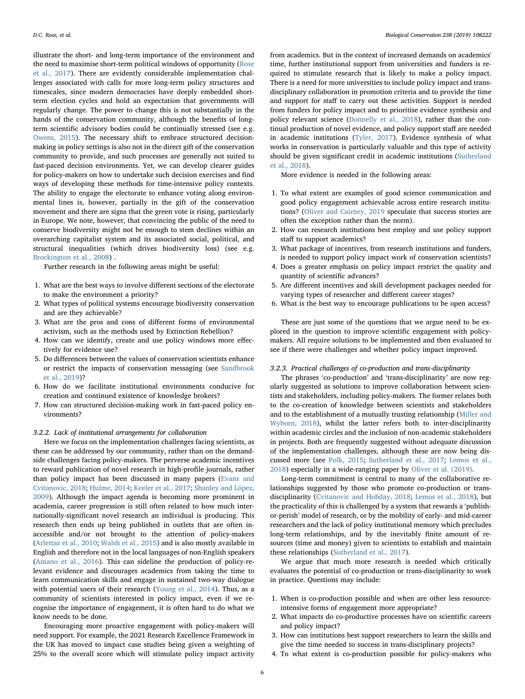illustrate the short- and long-term importance of the environment and the need to maximise short-term political windows of opportunity [\(Rose](#page-7-11) [et al., 2017](#page-7-11)). There are evidently considerable implementation challenges associated with calls for more long-term policy structures and timescales, since modern democracies have deeply embedded shortterm election cycles and hold an expectation that governments will regularly change. The power to change this is not substantially in the hands of the conservation community, although the benefits of longterm scientific advisory bodies could be continually stressed (see e.g. [Owens, 2015\)](#page-7-39). The necessary shift to embrace structured decisionmaking in policy settings is also not in the direct gift of the conservation community to provide, and such processes are generally not suited to fast-paced decision environments. Yet, we can develop clearer guides for policy-makers on how to undertake such decision exercises and find ways of developing these methods for time-intensive policy contexts. The ability to engage the electorate to enhance voting along environmental lines is, however, partially in the gift of the conservation movement and there are signs that the green vote is rising, particularly in Europe. We note, however, that convincing the public of the need to conserve biodiversity might not be enough to stem declines within an overarching capitalist system and its associated social, political, and structural inequalities (which drives biodiversity loss) (see e.g. [Brockington et al., 2008\)](#page-6-31) .

Further research in the following areas might be useful:

- 1. What are the best ways to involve different sections of the electorate to make the environment a priority?
- 2. What types of political systems encourage biodiversity conservation and are they achievable?
- 3. What are the pros and cons of different forms of environmental activism, such as the methods used by Extinction Rebellion?
- 4. How can we identify, create and use policy windows more effectively for evidence use?
- 5. Do differences between the values of conservation scientists enhance or restrict the impacts of conservation messaging (see [Sandbrook](#page-7-63) [et al., 2019](#page-7-63))?
- 6. How do we facilitate institutional environments conducive for creation and continued existence of knowledge brokers?
- 7. How can structured decision-making work in fast-paced policy environments?

#### 3.2.2. Lack of institutional arrangements for collaboration

Here we focus on the implementation challenges facing scientists, as these can be addressed by our community, rather than on the demandside challenges facing policy-makers. The perverse academic incentives to reward publication of novel research in high-profile journals, rather than policy impact has been discussed in many papers ([Evans and](#page-6-20) [Cvitanovic, 2018;](#page-6-20) [Hulme, 2014;](#page-7-27) [Keeler et al., 2017](#page-7-64); [Shanley and López,](#page-7-22) [2009\)](#page-7-22). Although the impact agenda is becoming more prominent in academia, career progression is still often related to how much internationally-significant novel research an individual is producing. This research then ends up being published in outlets that are often inaccessible and/or not brought to the attention of policy-makers ([Arlettaz et al., 2010](#page-6-10); [Walsh et al., 2015](#page-7-3)) and is also mostly available in English and therefore not in the local languages of non-English speakers ([Amano et al., 2016](#page-6-32)). This can sideline the production of policy-relevant evidence and discourages academics from taking the time to learn communication skills and engage in sustained two-way dialogue with potential users of their research ([Young et al., 2014\)](#page-7-4). Thus, as a community of scientists interested in policy impact, even if we recognise the importance of engagement, it is often hard to do what we know needs to be done.

Encouraging more proactive engagement with policy-makers will need support. For example, the 2021 Research Excellence Framework in the UK has moved to impact case studies being given a weighting of 25% to the overall score which will stimulate policy impact activity

from academics. But in the context of increased demands on academics' time, further institutional support from universities and funders is required to stimulate research that is likely to make a policy impact. There is a need for more universities to include policy impact and transdisciplinary collaboration in promotion criteria and to provide the time and support for staff to carry out these activities. Support is needed from funders for policy impact and to prioritise evidence synthesis and policy relevant science [\(Donnelly et al., 2018](#page-6-33)), rather than the continual production of novel evidence, and policy support staff are needed in academic institutions ([Tyler, 2017](#page-7-65)). Evidence synthesis of what works in conservation is particularly valuable and this type of activity should be given significant credit in academic institutions [\(Sutherland](#page-7-66) [et al., 2018](#page-7-66)).

More evidence is needed in the following areas:

- 1. To what extent are examples of good science communication and good policy engagement achievable across entire research institutions? [\(Oliver and Cairney, 2019](#page-7-67) speculate that success stories are often the exception rather than the norm).
- 2. How can research institutions best employ and use policy support staff to support academics?
- 3. What package of incentives, from research institutions and funders, is needed to support policy impact work of conservation scientists?
- 4. Does a greater emphasis on policy impact restrict the quality and quantity of scientific advances?
- 5. Are different incentives and skill development packages needed for varying types of researcher and different career stages?
- 6. What is the best way to encourage publications to be open access?

These are just some of the questions that we argue need to be explored in the question to improve scientific engagement with policymakers. All require solutions to be implemented and then evaluated to see if there were challenges and whether policy impact improved.

## 3.2.3. Practical challenges of co-production and trans-disciplinarity

The phrases 'co-production' and 'trans-disciplinarity' are now regularly suggested as solutions to improve collaboration between scientists and stakeholders, including policy-makers. The former relates both to the co-creation of knowledge between scientists and stakeholders and to the establishment of a mutually trusting relationship [\(Miller and](#page-7-68) [Wyborn, 2018](#page-7-68)), whilst the latter refers both to inter-disciplinarity within academic circles and the inclusion of non-academic stakeholders in projects. Both are frequently suggested without adequate discussion of the implementation challenges, although these are now being discussed more (see [Polk, 2015;](#page-7-69) [Sutherland et al., 2017](#page-7-61); [Lemos et al.,](#page-7-33) [2018\)](#page-7-33) especially in a wide-ranging paper by [Oliver et al. \(2019\).](#page-7-62)

Long-term commitment is central to many of the collaborative relationships suggested by those who promote co-production or transdisciplinarity [\(Cvitanovic and Hobday, 2018](#page-6-2); [Lemos et al., 2018\)](#page-7-33), but the practicality of this is challenged by a system that rewards a 'publishor-perish' model of research, or by the mobility of early- and mid-career researchers and the lack of policy institutional memory which precludes long-term relationships, and by the inevitably finite amount of resources (time and money) given to scientists to establish and maintain these relationships [\(Sutherland et al., 2017](#page-7-61)).

We argue that much more research is needed which critically evaluates the potential of co-production or trans-disciplinarity to work in practice. Questions may include:

- 1. When is co-production possible and when are other less resourceintensive forms of engagement more appropriate?
- 2. What impacts do co-productive processes have on scientific careers and policy impact?
- 3. How can institutions best support researchers to learn the skills and give the time needed to success in trans-disciplinary projects?
- 4. To what extent is co-production possible for policy-makers who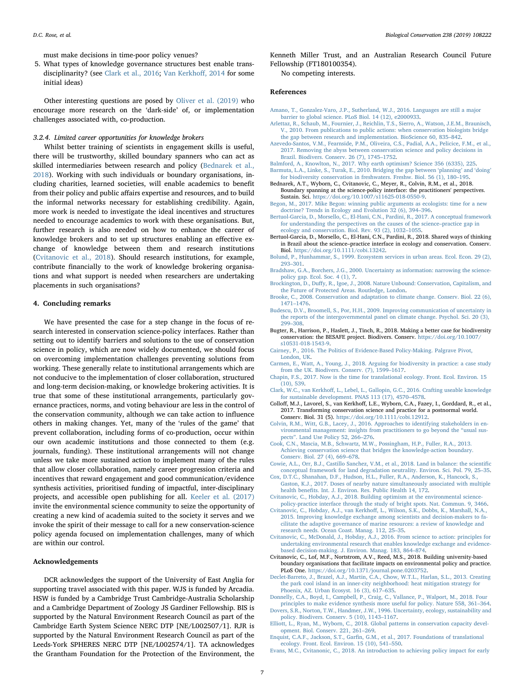must make decisions in time-poor policy venues?

5. What types of knowledge governance structures best enable transdisciplinarity? (see [Clark et al., 2016;](#page-6-29) [Van Kerkho](#page-7-60)ff, 2014 for some initial ideas)

Other interesting questions are posed by [Oliver et al. \(2019\)](#page-7-62) who encourage more research on the 'dark-side' of, or implementation challenges associated with, co-production.

### 3.2.4. Limited career opportunities for knowledge brokers

Whilst better training of scientists in engagement skills is useful, there will be trustworthy, skilled boundary spanners who can act as skilled intermediaries between research and policy ([Bednarek et al.,](#page-6-14) [2018\)](#page-6-14). Working with such individuals or boundary organisations, including charities, learned societies, will enable academics to benefit from their policy and public affairs expertise and resources, and to build the informal networks necessary for establishing credibility. Again, more work is needed to investigate the ideal incentives and structures needed to encourage academics to work with these organisations. But, further research is also needed on how to enhance the career of knowledge brokers and to set up structures enabling an effective exchange of knowledge between them and research institutions ([Cvitanovic et al., 2018\)](#page-6-30). Should research institutions, for example, contribute financially to the work of knowledge brokering organisations and what support is needed when researchers are undertaking placements in such organisations?

## 4. Concluding remarks

We have presented the case for a step change in the focus of research interested in conservation science-policy interfaces. Rather than setting out to identify barriers and solutions to the use of conservation science in policy, which are now widely documented, we should focus on overcoming implementation challenges preventing solutions from working. These generally relate to institutional arrangements which are not conducive to the implementation of closer collaboration, structured and long-term decision-making, or knowledge brokering activities. It is true that some of these institutional arrangements, particularly governance practices, norms, and voting behaviour are less in the control of the conservation community, although we can take action to influence others in making changes. Yet, many of the 'rules of the game' that prevent collaboration, including forms of co-production, occur within our own academic institutions and those connected to them (e.g. journals, funding). These institutional arrangements will not change unless we take more sustained action to implement many of the rules that allow closer collaboration, namely career progression criteria and incentives that reward engagement and good communication/evidence synthesis activities, prioritised funding of impactful, inter-disciplinary projects, and accessible open publishing for all. [Keeler et al. \(2017\)](#page-7-64) invite the environmental science community to seize the opportunity of creating a new kind of academia suited to the society it serves and we invoke the spirit of their message to call for a new conservation-science policy agenda focused on implementation challenges, many of which are within our control.

## Acknowledgements

DCR acknowledges the support of the University of East Anglia for supporting travel associated with this paper. WJS is funded by Arcadia. HSW is funded by a Cambridge Trust Cambridge-Australia Scholarship and a Cambridge Department of Zoology JS Gardiner Fellowship. BIS is supported by the Natural Environment Research Council as part of the Cambridge Earth System Science NERC DTP [NE/L002507/1]. RJR is supported by the Natural Environment Research Council as part of the Leeds-York SPHERES NERC DTP [NE/L002574/1]. TA acknowledges the Grantham Foundation for the Protection of the Environment, the

Kenneth Miller Trust, and an Australian Research Council Future Fellowship (FT180100354).

No competing interests.

### References

- <span id="page-6-32"></span>[Amano, T., Gonzalez-Varo, J.P., Sutherland, W.J., 2016. Languages are still a major](http://refhub.elsevier.com/S0006-3207(19)30611-1/rf0005) [barrier to global science. PLoS Biol. 14 \(12\), e2000933.](http://refhub.elsevier.com/S0006-3207(19)30611-1/rf0005)
- <span id="page-6-10"></span>[Arlettaz, R., Schaub, M., Fournier, J., Reichlin, T.S., Sierro, A., Watson, J.E.M., Braunisch,](http://refhub.elsevier.com/S0006-3207(19)30611-1/rf0010) [V., 2010. From publications to public actions: when conservation biologists bridge](http://refhub.elsevier.com/S0006-3207(19)30611-1/rf0010) [the gap between research and implementation. BioScience 60, 835](http://refhub.elsevier.com/S0006-3207(19)30611-1/rf0010)–842.
- <span id="page-6-6"></span>[Azevedo-Santos, V.M., Fearnside, P.M., Oliveira, C.S., Padial, A.A., Pelicice, F.M., et al.,](http://refhub.elsevier.com/S0006-3207(19)30611-1/rf0015) [2017. Removing the abyss between conservation science and policy decisions in](http://refhub.elsevier.com/S0006-3207(19)30611-1/rf0015) [Brazil. Biodivers. Conserv. 26 \(7\), 1745](http://refhub.elsevier.com/S0006-3207(19)30611-1/rf0015)–1752.
- <span id="page-6-8"></span><span id="page-6-5"></span>[Balmford, A., Knowlton, N., 2017. Why earth optimism? Science 356 \(6335\), 225.](http://refhub.elsevier.com/S0006-3207(19)30611-1/rf0020) [Barmuta, L.A., Linke, S., Turak, E., 2010. Bridging the gap between](http://refhub.elsevier.com/S0006-3207(19)30611-1/rf0025) 'planning' and 'doing' [for biodiversity conservation in freshwaters. Freshw. Biol. 56 \(1\), 180](http://refhub.elsevier.com/S0006-3207(19)30611-1/rf0025)–195.
- <span id="page-6-14"></span>Bednarek, A.T., Wyborn, C., Cvitanovic, C., Meyer, R., Colvin, R.M., et al., 2018. Boundary spanning at the science-policy interface: the practitioners' perspectives.
- <span id="page-6-3"></span>Sustain. Sci. <https://doi.org/10.1007/s11625-018-0550-9>. [Begon, M., 2017. Mike Begon: winning public arguments as ecologists: time for a new](http://refhub.elsevier.com/S0006-3207(19)30611-1/rf0035) [doctrine? Trends in Ecology and Evolution 32 \(6\), 394](http://refhub.elsevier.com/S0006-3207(19)30611-1/rf0035)–396.
- <span id="page-6-7"></span>[Bertuol-Garcia, D., Morsello, C., El-Hani, C.N., Pardini, R., 2017. A conceptual framework](http://refhub.elsevier.com/S0006-3207(19)30611-1/rf0040) [for understanding the perspectives on the causes of the science](http://refhub.elsevier.com/S0006-3207(19)30611-1/rf0040)–practice gap in [ecology and conservation. Biol. Rev. 93 \(2\), 1032](http://refhub.elsevier.com/S0006-3207(19)30611-1/rf0040)–1055.
- <span id="page-6-0"></span>Bertuol-Garcia, D., Morsello, C., El-Hani, C.N., Pardini, R., 2018. Shared ways of thinking in Brazil about the science–practice interface in ecology and conservation. Conserv. Biol. <https://doi.org/10.1111/cobi.13242>.
- <span id="page-6-23"></span>[Bolund, P., Hunhammar, S., 1999. Ecosystem services in urban areas. Ecol. Econ. 29 \(2\),](http://refhub.elsevier.com/S0006-3207(19)30611-1/rf0055) 293–[301](http://refhub.elsevier.com/S0006-3207(19)30611-1/rf0055).
- <span id="page-6-18"></span>[Bradshaw, G.A., Borchers, J.G., 2000. Uncertainty as information: narrowing the science](http://refhub.elsevier.com/S0006-3207(19)30611-1/rf0060)[policy gap. Ecol. Soc. 4 \(1\), 7](http://refhub.elsevier.com/S0006-3207(19)30611-1/rf0060).
- <span id="page-6-31"></span>Brockington, D., Duff[y, R., Igoe, J., 2008. Nature Unbound: Conservation, Capitalism, and](http://refhub.elsevier.com/S0006-3207(19)30611-1/rf0065) [the Future of Protected Areas. Routledge, London](http://refhub.elsevier.com/S0006-3207(19)30611-1/rf0065).
- <span id="page-6-15"></span>[Brooke, C., 2008. Conservation and adaptation to climate change. Conserv. Biol. 22 \(6\),](http://refhub.elsevier.com/S0006-3207(19)30611-1/rf0070) 1471–[1476](http://refhub.elsevier.com/S0006-3207(19)30611-1/rf0070).
- <span id="page-6-27"></span>[Budescu, D.V., Broomell, S., Por, H.H., 2009. Improving communication of uncertainty in](http://refhub.elsevier.com/S0006-3207(19)30611-1/rf0075) [the reports of the intergovernmental panel on climate change. Psychol. Sci. 20 \(3\),](http://refhub.elsevier.com/S0006-3207(19)30611-1/rf0075) 299–[308](http://refhub.elsevier.com/S0006-3207(19)30611-1/rf0075).
- <span id="page-6-1"></span>Bugter, R., Harrison, P., Haslett, J., Tinch, R., 2018. Making a better case for biodiversity conservation: the BESAFE project. Biodivers. Conserv. [https://doi.org/10.1007/](https://doi.org/10.1007/s10531-018-1543-9) [s10531-018-1543-9.](https://doi.org/10.1007/s10531-018-1543-9)
- <span id="page-6-28"></span>[Cairney, P., 2016. The Politics of Evidence-Based Policy-Making. Palgrave Pivot,](http://refhub.elsevier.com/S0006-3207(19)30611-1/rf0085) [London, UK](http://refhub.elsevier.com/S0006-3207(19)30611-1/rf0085).
- <span id="page-6-4"></span>[Carmen, E., Watt, A., Young, J., 2018. Arguing for biodiversity in practice: a case study](http://refhub.elsevier.com/S0006-3207(19)30611-1/rf0090) [from the UK. Biodivers. Conserv. \(7\), 1599](http://refhub.elsevier.com/S0006-3207(19)30611-1/rf0090)–1617.
- <span id="page-6-16"></span>[Chapin, F.S., 2017. Now is the time for translational ecology. Front. Ecol. Environ. 15](http://refhub.elsevier.com/S0006-3207(19)30611-1/rf0095) [\(10\), 539](http://refhub.elsevier.com/S0006-3207(19)30611-1/rf0095).
- <span id="page-6-29"></span>Clark, W.C., van Kerkhoff[, L., Lebel, L., Gallopin, G.C., 2016. Crafting useable knowledge](http://refhub.elsevier.com/S0006-3207(19)30611-1/rf0100) [for sustainable development. PNAS 113 \(17\), 4570](http://refhub.elsevier.com/S0006-3207(19)30611-1/rf0100)–4578.
- <span id="page-6-21"></span>Colloff, M.J., Lavorel, S., van Kerkhoff, L.E., Wyborn, C.A., Fazey, I., Gorddard, R., et al., 2017. Transforming conservation science and practice for a postnormal world. Conserv. Biol. 31 (5). <https://doi.org/10.1111/cobi.12912>.
- <span id="page-6-12"></span>[Colvin, R.M., Witt, G.B., Lacey, J., 2016. Approaches to identifying stakeholders in en](http://refhub.elsevier.com/S0006-3207(19)30611-1/rf0110)[vironmental management: insights from practitioners to go beyond the](http://refhub.elsevier.com/S0006-3207(19)30611-1/rf0110) "usual suspects"[. Land Use Policy 52, 266](http://refhub.elsevier.com/S0006-3207(19)30611-1/rf0110)–276.
- <span id="page-6-9"></span>[Cook, C.N., Mascia, M.B., Schwartz, M.W., Possingham, H.P., Fuller, R.A., 2013.](http://refhub.elsevier.com/S0006-3207(19)30611-1/rf0115) [Achieving conservation science that bridges the knowledge-action boundary.](http://refhub.elsevier.com/S0006-3207(19)30611-1/rf0115) [Conserv. Biol. 27 \(4\), 669](http://refhub.elsevier.com/S0006-3207(19)30611-1/rf0115)–678.
- <span id="page-6-25"></span>[Cowie, A.L., Orr, B.J., Castillo Sanchez, V.M., et al., 2018. Land in balance: the scienti](http://refhub.elsevier.com/S0006-3207(19)30611-1/rf0120)fic [conceptual framework for land degradation neutrality. Environ. Sci. Pol. 79, 25](http://refhub.elsevier.com/S0006-3207(19)30611-1/rf0120)–35.
- <span id="page-6-24"></span>Cox, D.T.C., Shanahan, D.F., Hudson, H.L., Fuller, R.A., Anderson, K., Hancock, S. [Gaston, K.J., 2017. Doses of nearby nature simultaneously associated with multiple](http://refhub.elsevier.com/S0006-3207(19)30611-1/rf0125) health benefi[ts. Int. J. Environ. Res. Public Health 14, 172.](http://refhub.elsevier.com/S0006-3207(19)30611-1/rf0125) [Cvitanovic, C., Hobday, A.J., 2018. Building optimism at the environmental science-](http://refhub.elsevier.com/S0006-3207(19)30611-1/rf0130)
- <span id="page-6-2"></span>[policy-practice interface through the study of bright spots. Nat. Commun. 9, 3466.](http://refhub.elsevier.com/S0006-3207(19)30611-1/rf0130)
- <span id="page-6-11"></span>Cvitanovic, C., Hobday, A.J., van Kerkhoff[, L., Wilson, S.K., Dobbs, K., Marshall, N.A.,](http://refhub.elsevier.com/S0006-3207(19)30611-1/rf0135) [2015. Improving knowledge exchange among scientists and decision-makers to fa](http://refhub.elsevier.com/S0006-3207(19)30611-1/rf0135)[cilitate the adaptive governance of marine resources: a review of knowledge and](http://refhub.elsevier.com/S0006-3207(19)30611-1/rf0135) [research needs. Ocean Coast. Manag. 112, 25](http://refhub.elsevier.com/S0006-3207(19)30611-1/rf0135)–35.
- <span id="page-6-13"></span>[Cvitanovic, C., McDonald, J., Hobday, A.J., 2016. From science to action: principles for](http://refhub.elsevier.com/S0006-3207(19)30611-1/rf0140) [undertaking environmental research that enables knowledge exchange and evidence](http://refhub.elsevier.com/S0006-3207(19)30611-1/rf0140)[based decision-making. J. Environ. Manag. 183, 864](http://refhub.elsevier.com/S0006-3207(19)30611-1/rf0140)–874.
- <span id="page-6-30"></span>Cvitanovic, C., Lof, M.F., Nortstrom, A.V., Reed, M.S., 2018. Building university-based boundary organisations that facilitate impacts on environmental policy and practice. PLoS One. <https://doi.org/10.1371/journal.pone.0203752>.
- <span id="page-6-22"></span>[Declet-Barreto, J., Brazel, A.J., Martin, C.A., Chow, W.T.L., Harlan, S.L., 2013. Creating](http://refhub.elsevier.com/S0006-3207(19)30611-1/rf0150) [the park cool island in an inner-city neighborhood: heat mitigation strategy for](http://refhub.elsevier.com/S0006-3207(19)30611-1/rf0150) [Phoenix, AZ. Urban Ecosyst. 16 \(3\), 617](http://refhub.elsevier.com/S0006-3207(19)30611-1/rf0150)–635.
- <span id="page-6-33"></span>[Donnelly, C.A., Boyd, I., Campbell, P., Craig, C., Vallance, P., Walport, M., 2018. Four](http://refhub.elsevier.com/S0006-3207(19)30611-1/rf9010) [principles to make evidence synthesis more useful for policy. Nature 558, 361](http://refhub.elsevier.com/S0006-3207(19)30611-1/rf9010)–364.
- <span id="page-6-19"></span>[Dovers, S.R., Norton, T.W., Handmer, J.W., 1996. Uncertainty, ecology, sustainability and](http://refhub.elsevier.com/S0006-3207(19)30611-1/rf0155) [policy. Biodivers. Conserv. 5 \(10\), 1143](http://refhub.elsevier.com/S0006-3207(19)30611-1/rf0155)–1167.
- <span id="page-6-26"></span>[Elliott, L., Ryan, M., Wyborn, C., 2018. Global patterns in conservation capacity devel](http://refhub.elsevier.com/S0006-3207(19)30611-1/rf0160)[opment. Biol. Conserv. 221, 261](http://refhub.elsevier.com/S0006-3207(19)30611-1/rf0160)–269.
- <span id="page-6-17"></span>Enquist, C.A.F., Jackson, S.T., Garfi[n, G.M., et al., 2017. Foundations of translational](http://refhub.elsevier.com/S0006-3207(19)30611-1/rf0165) [ecology. Front. Ecol. Environ. 15 \(10\), 541](http://refhub.elsevier.com/S0006-3207(19)30611-1/rf0165)–550.
- <span id="page-6-20"></span>[Evans, M.C., Cvitanonic, C., 2018. An introduction to achieving policy impact for early](http://refhub.elsevier.com/S0006-3207(19)30611-1/rf0170)